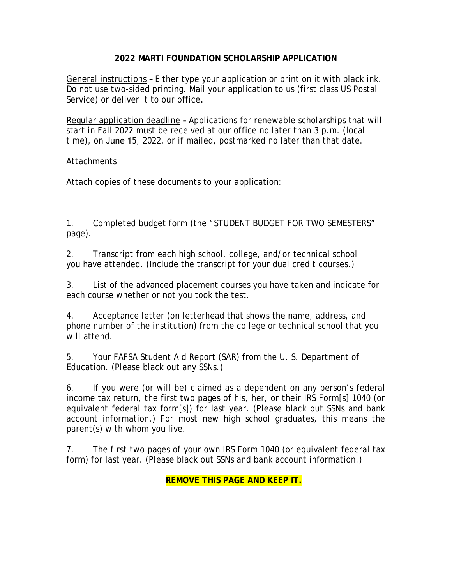### **2022 MARTI FOUNDATION SCHOLARSHIP APPLICATION**

General instructions – Either type your application or print on it with black ink. Do not use two-sided printing. Mail your application to us (first class US Postal Service) or deliver it to our office.

Regular application deadline **–** Applications for renewable scholarships that will start in Fall 2022 must be received at our office no later than 3 p.m. (local time), on June 15, 2022, or if mailed, postmarked no later than that date.

#### Attachments

Attach copies of these documents to your application:

1. Completed budget form (the "STUDENT BUDGET FOR TWO SEMESTERS" page).

2. Transcript from each high school, college, and/or technical school you have attended. (Include the transcript for your dual credit courses.)

3. List of the advanced placement courses you have taken and indicate for each course whether or not you took the test.

4. Acceptance letter (on letterhead that shows the name, address, and phone number of the institution) from the college or technical school that you will attend.

5. Your FAFSA Student Aid Report (SAR) from the U. S. Department of Education. (Please black out any SSNs.)

6. If you were (or will be) claimed as a dependent on any person's federal income tax return, the first two pages of his, her, or their IRS Form[s] 1040 (or equivalent federal tax form[s]) for last year. (Please black out SSNs and bank account information.) For most new high school graduates, this means the parent(s) with whom you live.

7. The first two pages of your own IRS Form 1040 (or equivalent federal tax form) for last year. (Please black out SSNs and bank account information.)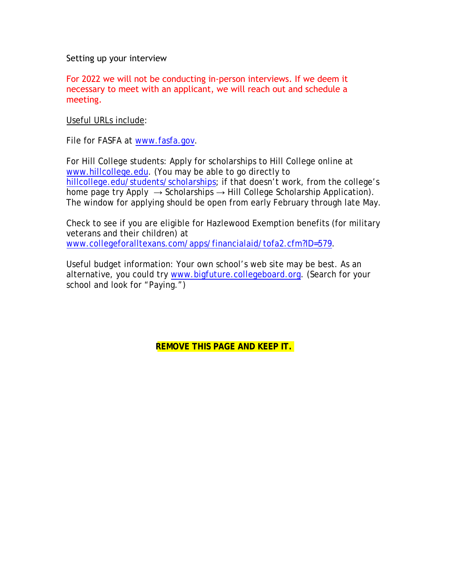Setting up your interview

For 2022 we will not be conducting in-person interviews. If we deem it necessary to meet with an applicant, we will reach out and schedule a meeting.

Useful URLs include:

File for FASFA at www.fasfa.gov.

For Hill College students: Apply for scholarships to Hill College online at www.hillcollege.edu. (You may be able to go directly to hillcollege.edu/students/scholarships; if that doesn't work, from the college's home page try Apply  $\rightarrow$  Scholarships  $\rightarrow$  Hill College Scholarship Application). The window for applying should be open from early February through late May.

Check to see if you are eligible for Hazlewood Exemption benefits (for military veterans and their children) at www.collegeforalltexans.com/apps/financialaid/tofa2.cfm?ID=579.

Useful budget information: Your own school's web site may be best. As an alternative, you could try www.bigfuture.collegeboard.org. (Search for your school and look for "Paying.")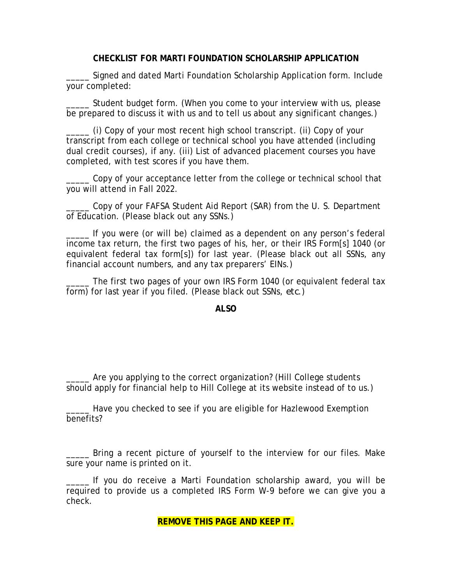#### **CHECKLIST FOR MARTI FOUNDATION SCHOLARSHIP APPLICATION**

\_\_\_\_\_ Signed and dated Marti Foundation Scholarship Application form. Include your completed:

\_\_\_\_\_ Student budget form. (When you come to your interview with us, please be prepared to discuss it with us and to tell us about any significant changes.)

\_\_\_\_\_ (i) Copy of your most recent high school transcript. (ii) Copy of your transcript from each college or technical school you have attended (including dual credit courses), if any. (iii) List of advanced placement courses you have completed, with test scores if you have them.

\_\_\_\_\_ Copy of your acceptance letter from the college or technical school that you will attend in Fall 2022.

Copy of your FAFSA Student Aid Report (SAR) from the U. S. Department of Education. (Please black out any SSNs.)

\_\_\_\_\_ If you were (or will be) claimed as a dependent on any person's federal income tax return, the first two pages of his, her, or their IRS Form[s] 1040 (or equivalent federal tax form[s]) for last year. (Please black out all SSNs, any financial account numbers, and any tax preparers' EINs.)

The first two pages of your own IRS Form 1040 (or equivalent federal tax form) for last year if you filed. (Please black out SSNs, *etc*.)

#### **ALSO**

Are you applying to the correct organization? (Hill College students should apply for financial help to Hill College at its website instead of to us.)

Have you checked to see if you are eligible for Hazlewood Exemption benefits?

\_\_\_\_\_ Bring a recent picture of yourself to the interview for our files. Make sure your name is printed on it.

\_\_\_\_\_ If you do receive a Marti Foundation scholarship award, you will be required to provide us a completed IRS Form W-9 before we can give you a check.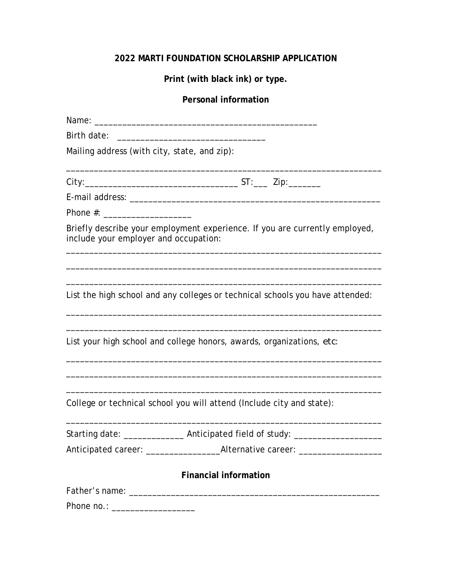## **2022 MARTI FOUNDATION SCHOLARSHIP APPLICATION**

**Print (with black ink) or type.**

# **Personal information**

| Birth date:                                                                                                          |  |  |  |  |
|----------------------------------------------------------------------------------------------------------------------|--|--|--|--|
| Mailing address (with city, state, and zip):                                                                         |  |  |  |  |
|                                                                                                                      |  |  |  |  |
|                                                                                                                      |  |  |  |  |
|                                                                                                                      |  |  |  |  |
| Briefly describe your employment experience. If you are currently employed,<br>include your employer and occupation: |  |  |  |  |
|                                                                                                                      |  |  |  |  |
| List the high school and any colleges or technical schools you have attended:                                        |  |  |  |  |
| List your high school and college honors, awards, organizations, etc:                                                |  |  |  |  |
|                                                                                                                      |  |  |  |  |
| College or technical school you will attend (Include city and state):                                                |  |  |  |  |
| Starting date: _________________ Anticipated field of study: ___________________                                     |  |  |  |  |
| Anticipated career: ____________________Alternative career: ____________________                                     |  |  |  |  |
| <b>Financial information</b>                                                                                         |  |  |  |  |
|                                                                                                                      |  |  |  |  |
|                                                                                                                      |  |  |  |  |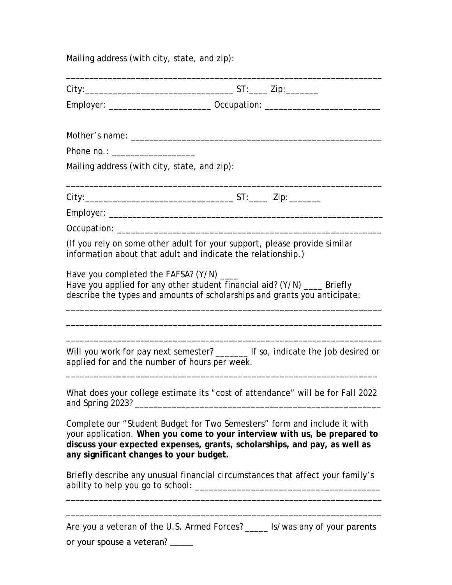Mailing address (with city, state, and zip):

|                                               | Employer: _____________________________ Occupation: ____________________________                                                                                                                                                   |
|-----------------------------------------------|------------------------------------------------------------------------------------------------------------------------------------------------------------------------------------------------------------------------------------|
|                                               |                                                                                                                                                                                                                                    |
| Phone no.: ___________________                |                                                                                                                                                                                                                                    |
| Mailing address (with city, state, and zip):  |                                                                                                                                                                                                                                    |
|                                               |                                                                                                                                                                                                                                    |
|                                               |                                                                                                                                                                                                                                    |
|                                               |                                                                                                                                                                                                                                    |
|                                               |                                                                                                                                                                                                                                    |
|                                               | (If you rely on some other adult for your support, please provide similar<br>information about that adult and indicate the relationship.)                                                                                          |
| Have you completed the FAFSA? (Y/N) ____      | Have you applied for any other student financial aid? (Y/N) ___ Briefly<br>describe the types and amounts of scholarships and grants you anticipate:                                                                               |
| applied for and the number of hours per week. | Will you work for pay next semester? ________ If so, indicate the job desired or                                                                                                                                                   |
|                                               | What does your college estimate its "cost of attendance" will be for Fall 2022                                                                                                                                                     |
| any significant changes to your budget.       | Complete our "Student Budget for Two Semesters" form and include it with<br>your application. When you come to your interview with us, be prepared to<br>discuss your expected expenses, grants, scholarships, and pay, as well as |
|                                               | Briefly describe any unusual financial circumstances that affect your family's                                                                                                                                                     |
|                                               |                                                                                                                                                                                                                                    |
|                                               | Are you a veteran of the U.S. Armed Forces? _____ Is/was any of your parents                                                                                                                                                       |
| or your spouse a veteran? _____               |                                                                                                                                                                                                                                    |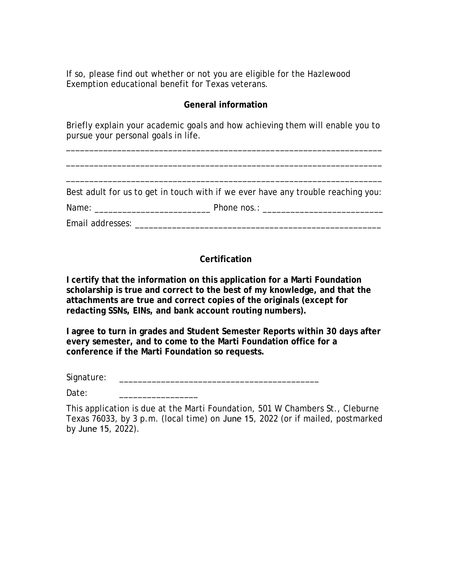If so, please find out whether or not you are eligible for the Hazlewood Exemption educational benefit for Texas veterans.

### **General information**

Briefly explain your academic goals and how achieving them will enable you to pursue your personal goals in life.

\_\_\_\_\_\_\_\_\_\_\_\_\_\_\_\_\_\_\_\_\_\_\_\_\_\_\_\_\_\_\_\_\_\_\_\_\_\_\_\_\_\_\_\_\_\_\_\_\_\_\_\_\_\_\_\_\_\_\_\_\_\_\_\_\_\_\_\_

\_\_\_\_\_\_\_\_\_\_\_\_\_\_\_\_\_\_\_\_\_\_\_\_\_\_\_\_\_\_\_\_\_\_\_\_\_\_\_\_\_\_\_\_\_\_\_\_\_\_\_\_\_\_\_\_\_\_\_\_\_\_\_\_\_\_\_\_

\_\_\_\_\_\_\_\_\_\_\_\_\_\_\_\_\_\_\_\_\_\_\_\_\_\_\_\_\_\_\_\_\_\_\_\_\_\_\_\_\_\_\_\_\_\_\_\_\_\_\_\_\_\_\_\_\_\_\_\_\_\_\_\_\_\_\_\_

Best adult for us to get in touch with if we ever have any trouble reaching you:

Name: example a set of the Phone nos.:  $\blacksquare$ 

Email addresses: \_\_\_\_\_\_\_\_\_\_\_\_\_\_\_\_\_\_\_\_\_\_\_\_\_\_\_\_\_\_\_\_\_\_\_\_\_\_\_\_\_\_\_\_\_\_\_\_\_\_\_\_\_

### **Certification**

**I certify that the information on this application for a Marti Foundation scholarship is true and correct to the best of my knowledge, and that the attachments are true and correct copies of the originals (except for redacting SSNs, EINs, and bank account routing numbers).** 

**I agree to turn in grades and Student Semester Reports within 30 days after every semester, and to come to the Marti Foundation office for a conference if the Marti Foundation so requests.**

Signature: \_\_\_\_\_\_\_\_\_\_\_\_\_\_\_\_\_\_\_\_\_\_\_\_\_\_\_\_\_\_\_\_\_\_\_\_\_\_\_\_\_\_\_

Date:

This application is due at the Marti Foundation, 501 W Chambers St., Cleburne Texas 76033, by 3 p.m. (local time) on June 15, 2022 (or if mailed, postmarked by June 15, 2022).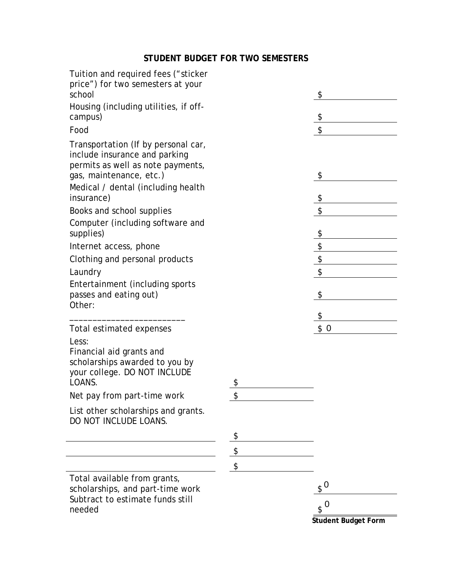# **STUDENT BUDGET FOR TWO SEMESTERS**

| Tuition and required fees ("sticker<br>price") for two semesters at your<br>school                                                        | \$            |
|-------------------------------------------------------------------------------------------------------------------------------------------|---------------|
| Housing (including utilities, if off-                                                                                                     |               |
| campus)                                                                                                                                   | \$            |
| Food                                                                                                                                      | \$            |
| Transportation (If by personal car,<br>include insurance and parking<br>permits as well as note payments,<br>gas, maintenance, etc.)      | \$            |
| Medical / dental (including health<br>insurance)                                                                                          | \$            |
| Books and school supplies                                                                                                                 | \$            |
| Computer (including software and<br>supplies)                                                                                             | \$            |
| Internet access, phone                                                                                                                    | \$            |
| Clothing and personal products                                                                                                            | \$            |
| Laundry                                                                                                                                   |               |
| Entertainment (including sports<br>passes and eating out)<br>Other:                                                                       | \$            |
|                                                                                                                                           | \$            |
| Total estimated expenses<br>Less:<br>Financial aid grants and<br>scholarships awarded to you by<br>your college. DO NOT INCLUDE<br>LOANS. | \$<br>\$0     |
| Net pay from part-time work                                                                                                               | \$            |
| List other scholarships and grants.<br>DO NOT INCLUDE LOANS.                                                                              |               |
|                                                                                                                                           |               |
|                                                                                                                                           | \$            |
|                                                                                                                                           | \$            |
| Total available from grants,<br>scholarships, and part-time work                                                                          | $\sqrt[6]{0}$ |
| Subtract to estimate funds still<br>needed                                                                                                | $\sqrt{s}$ 0  |

**Student Budget Form**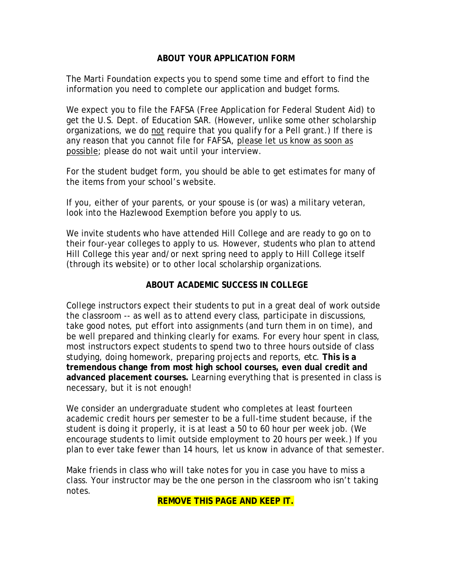### **ABOUT YOUR APPLICATION FORM**

The Marti Foundation expects you to spend some time and effort to find the information you need to complete our application and budget forms.

We expect you to file the FAFSA (Free Application for Federal Student Aid) to get the U.S. Dept. of Education SAR. (However, unlike some other scholarship organizations, we do not require that you qualify for a Pell grant.) If there is any reason that you cannot file for FAFSA, please let us know as soon as possible; please do not wait until your interview.

For the student budget form, you should be able to get estimates for many of the items from your school's website.

If you, either of your parents, or your spouse is (or was) a military veteran, look into the Hazlewood Exemption before you apply to us.

We invite students who have attended Hill College and are ready to go on to their four-year colleges to apply to us. However, students who plan to attend Hill College this year and/or next spring need to apply to Hill College itself (through its website) or to other local scholarship organizations.

### **ABOUT ACADEMIC SUCCESS IN COLLEGE**

College instructors expect their students to put in a great deal of work outside the classroom -- as well as to attend every class, participate in discussions, take good notes, put effort into assignments (and turn them in on time), and be well prepared and thinking clearly for exams. For every hour spent in class, most instructors expect students to spend two to three hours outside of class studying, doing homework, preparing projects and reports, *etc*. **This is a tremendous change from most high school courses, even dual credit and advanced placement courses.** Learning everything that is presented in class is necessary, but it is not enough!

We consider an undergraduate student who completes at least fourteen academic credit hours per semester to be a full-time student because, if the student is doing it properly, it is at least a 50 to 60 hour per week job. (We encourage students to limit outside employment to 20 hours per week.) If you plan to ever take fewer than 14 hours, let us know in advance of that semester.

Make friends in class who will take notes for you in case you have to miss a class. Your instructor may be the one person in the classroom who isn't taking notes.